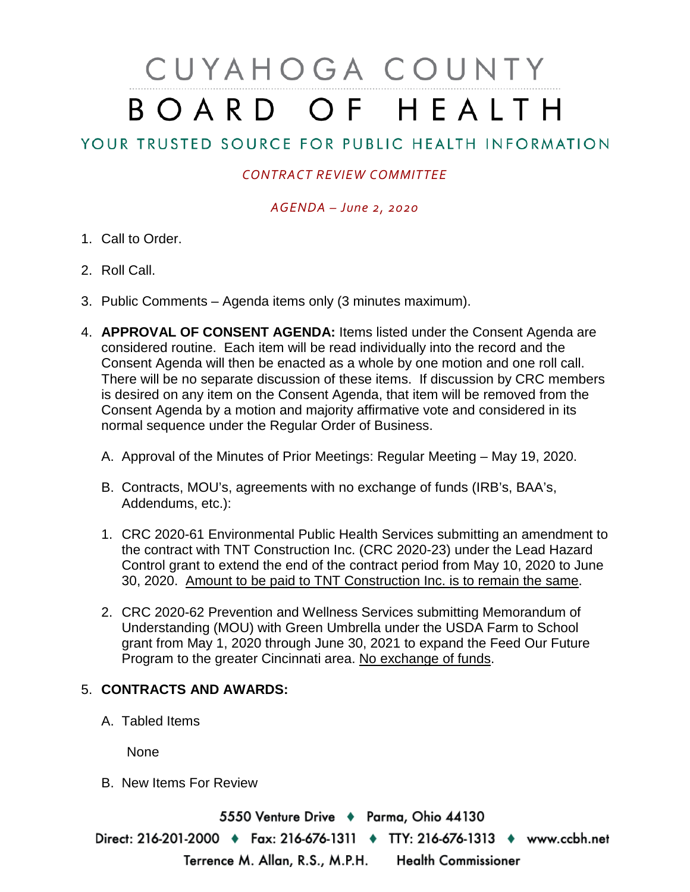# CUYAHOGA COUNTY BOARD OF HEALTH

## YOUR TRUSTED SOURCE FOR PUBLIC HEALTH INFORMATION

### *CONTRACT REVIEW COMMITTEE*

#### *AGENDA – June 2, 2020*

- 1. Call to Order.
- 2. Roll Call.
- 3. Public Comments Agenda items only (3 minutes maximum).
- 4. **APPROVAL OF CONSENT AGENDA:** Items listed under the Consent Agenda are considered routine. Each item will be read individually into the record and the Consent Agenda will then be enacted as a whole by one motion and one roll call. There will be no separate discussion of these items. If discussion by CRC members is desired on any item on the Consent Agenda, that item will be removed from the Consent Agenda by a motion and majority affirmative vote and considered in its normal sequence under the Regular Order of Business.
	- A. Approval of the Minutes of Prior Meetings: Regular Meeting May 19, 2020.
	- B. Contracts, MOU's, agreements with no exchange of funds (IRB's, BAA's, Addendums, etc.):
	- 1. CRC 2020-61 Environmental Public Health Services submitting an amendment to the contract with TNT Construction Inc. (CRC 2020-23) under the Lead Hazard Control grant to extend the end of the contract period from May 10, 2020 to June 30, 2020. Amount to be paid to TNT Construction Inc. is to remain the same.
	- 2. CRC 2020-62 Prevention and Wellness Services submitting Memorandum of Understanding (MOU) with Green Umbrella under the USDA Farm to School grant from May 1, 2020 through June 30, 2021 to expand the Feed Our Future Program to the greater Cincinnati area. No exchange of funds.

#### 5. **CONTRACTS AND AWARDS:**

A. Tabled Items

None

B. New Items For Review

5550 Venture Drive + Parma, Ohio 44130 Direct: 216-201-2000 • Fax: 216-676-1311 • TTY: 216-676-1313 • www.ccbh.net Terrence M. Allan, R.S., M.P.H. Health Commissioner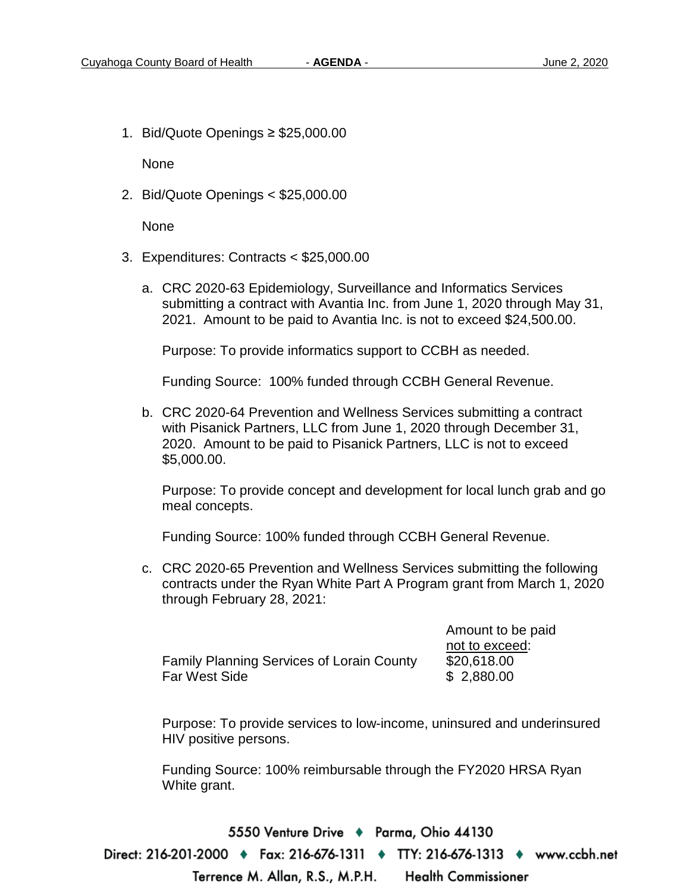1. Bid/Quote Openings ≥ \$25,000.00

None

2. Bid/Quote Openings < \$25,000.00

None

- 3. Expenditures: Contracts < \$25,000.00
	- a. CRC 2020-63 Epidemiology, Surveillance and Informatics Services submitting a contract with Avantia Inc. from June 1, 2020 through May 31, 2021. Amount to be paid to Avantia Inc. is not to exceed \$24,500.00.

Purpose: To provide informatics support to CCBH as needed.

Funding Source: 100% funded through CCBH General Revenue.

b. CRC 2020-64 Prevention and Wellness Services submitting a contract with Pisanick Partners, LLC from June 1, 2020 through December 31, 2020. Amount to be paid to Pisanick Partners, LLC is not to exceed \$5,000.00.

Purpose: To provide concept and development for local lunch grab and go meal concepts.

Funding Source: 100% funded through CCBH General Revenue.

c. CRC 2020-65 Prevention and Wellness Services submitting the following contracts under the Ryan White Part A Program grant from March 1, 2020 through February 28, 2021:

|                                           | nc  |
|-------------------------------------------|-----|
| Family Planning Services of Lorain County | \$2 |
| Far West Side                             |     |

 Amount to be paid ot to exceed: P. **P.** 18.00  $2,880.00$ 

Purpose: To provide services to low-income, uninsured and underinsured HIV positive persons.

Funding Source: 100% reimbursable through the FY2020 HRSA Ryan White grant.

5550 Venture Drive + Parma, Ohio 44130 Direct: 216-201-2000 ♦ Fax: 216-676-1311 ♦ TTY: 216-676-1313 ♦ www.ccbh.net Terrence M. Allan, R.S., M.P.H. **Health Commissioner**